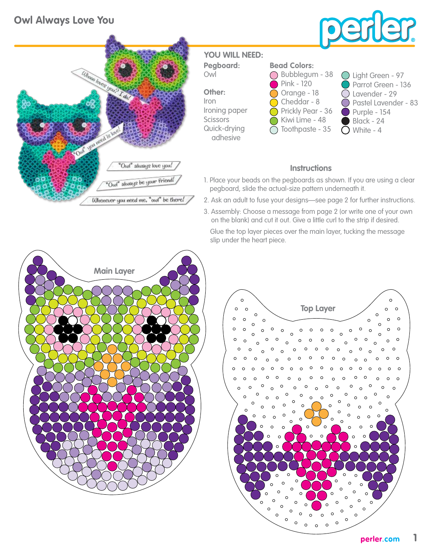## **Owl Always Love You**





**Pegboard:** Owl **YOU WILL NEED:**

**Other:** Iron Ironing paper **Scissors** Quick-drying adhesive

## **Bead Colors:**

- Bubblegum 38 Pink - 120  $\bigcirc$  Orange - 18 Cheddar - 8 Prickly Pear - 36 Kiwi Lime - 48 Toothpaste - 35
- Light Green 97 Parrot Green - 136 Lavender - 29 Pastel Lavender - 83 Purple - 154 Black - 24  $\bigcirc$  White - 4

## **Instructions**

- 1. Place your beads on the pegboards as shown. If you are using a clear pegboard, slide the actual-size pattern underneath it.
- 2. Ask an adult to fuse your designs—see page 2 for further instructions.
- 3. Assembly: Choose a message from page 2 (or write one of your own on the blank) and cut it out. Give a little curl to the strip if desired.

 Glue the top layer pieces over the main layer, tucking the message slip under the heart piece.